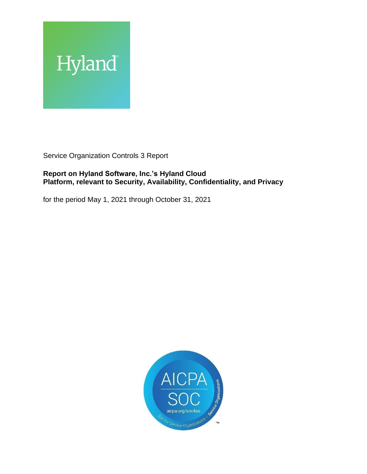

Service Organization Controls 3 Report

### **Report on Hyland Software, Inc.'s Hyland Cloud Platform, relevant to Security, Availability, Confidentiality, and Privacy**

for the period May 1, 2021 through October 31, 2021

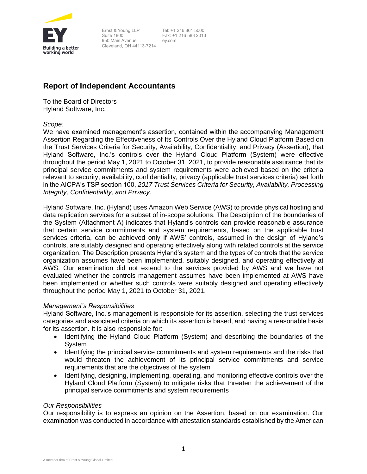

Ernst & Young LLP Suite 1800 950 Main Avenue Cleveland, OH 44113-7214

Tel: +1 216 861 5000 Fax: +1 216 583 2013 ey.com

## **Report of Independent Accountants**

To the Board of Directors Hyland Software, Inc.

*Scope:*

We have examined management's assertion, contained within the accompanying Management Assertion Regarding the Effectiveness of Its Controls Over the Hyland Cloud Platform Based on the Trust Services Criteria for Security, Availability, Confidentiality, and Privacy (Assertion), that Hyland Software, Inc.'s controls over the Hyland Cloud Platform (System) were effective throughout the period May 1, 2021 to October 31, 2021, to provide reasonable assurance that its principal service commitments and system requirements were achieved based on the criteria relevant to security, availability, confidentiality, privacy (applicable trust services criteria) set forth in the AICPA's TSP section 100, *2017 Trust Services Criteria for Security, Availability, Processing Integrity, Confidentiality, and Privacy*.

Hyland Software, Inc. (Hyland) uses Amazon Web Service (AWS) to provide physical hosting and data replication services for a subset of in-scope solutions. The Description of the boundaries of the System (Attachment A) indicates that Hyland's controls can provide reasonable assurance that certain service commitments and system requirements, based on the applicable trust services criteria, can be achieved only if AWS' controls, assumed in the design of Hyland's controls, are suitably designed and operating effectively along with related controls at the service organization. The Description presents Hyland's system and the types of controls that the service organization assumes have been implemented, suitably designed, and operating effectively at AWS. Our examination did not extend to the services provided by AWS and we have not evaluated whether the controls management assumes have been implemented at AWS have been implemented or whether such controls were suitably designed and operating effectively throughout the period May 1, 2021 to October 31, 2021.

### *Management's Responsibilities*

Hyland Software, Inc.'s management is responsible for its assertion, selecting the trust services categories and associated criteria on which its assertion is based, and having a reasonable basis for its assertion. It is also responsible for:

- Identifying the Hyland Cloud Platform (System) and describing the boundaries of the **System**
- Identifying the principal service commitments and system requirements and the risks that would threaten the achievement of its principal service commitments and service requirements that are the objectives of the system
- Identifying, designing, implementing, operating, and monitoring effective controls over the Hyland Cloud Platform (System) to mitigate risks that threaten the achievement of the principal service commitments and system requirements

### *Our Responsibilities*

Our responsibility is to express an opinion on the Assertion, based on our examination. Our examination was conducted in accordance with attestation standards established by the American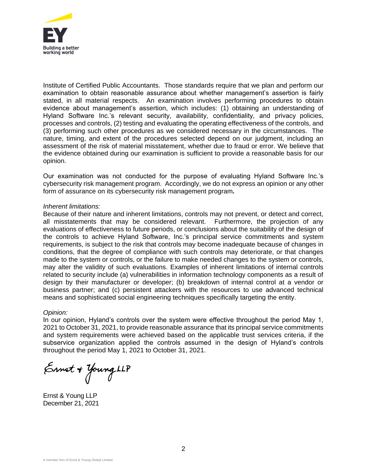

Institute of Certified Public Accountants. Those standards require that we plan and perform our examination to obtain reasonable assurance about whether management's assertion is fairly stated, in all material respects. An examination involves performing procedures to obtain evidence about management's assertion, which includes: (1) obtaining an understanding of Hyland Software Inc.'s relevant security, availability, confidentiality, and privacy policies, processes and controls, (2) testing and evaluating the operating effectiveness of the controls, and (3) performing such other procedures as we considered necessary in the circumstances. The nature, timing, and extent of the procedures selected depend on our judgment, including an assessment of the risk of material misstatement, whether due to fraud or error. We believe that the evidence obtained during our examination is sufficient to provide a reasonable basis for our opinion.

Our examination was not conducted for the purpose of evaluating Hyland Software Inc.'s cybersecurity risk management program. Accordingly, we do not express an opinion or any other form of assurance on its cybersecurity risk management program*.*

### *Inherent limitations:*

Because of their nature and inherent limitations, controls may not prevent, or detect and correct, all misstatements that may be considered relevant. Furthermore, the projection of any evaluations of effectiveness to future periods, or conclusions about the suitability of the design of the controls to achieve Hyland Software, Inc.'s principal service commitments and system requirements, is subject to the risk that controls may become inadequate because of changes in conditions, that the degree of compliance with such controls may deteriorate, or that changes made to the system or controls, or the failure to make needed changes to the system or controls, may alter the validity of such evaluations. Examples of inherent limitations of internal controls related to security include (a) vulnerabilities in information technology components as a result of design by their manufacturer or developer; (b) breakdown of internal control at a vendor or business partner; and (c) persistent attackers with the resources to use advanced technical means and sophisticated social engineering techniques specifically targeting the entity.

### *Opinion:*

In our opinion, Hyland's controls over the system were effective throughout the period May 1, 2021 to October 31, 2021, to provide reasonable assurance that its principal service commitments and system requirements were achieved based on the applicable trust services criteria, if the subservice organization applied the controls assumed in the design of Hyland's controls throughout the period May 1, 2021 to October 31, 2021.

Ennet + Young LLP

Ernst & Young LLP December 21, 2021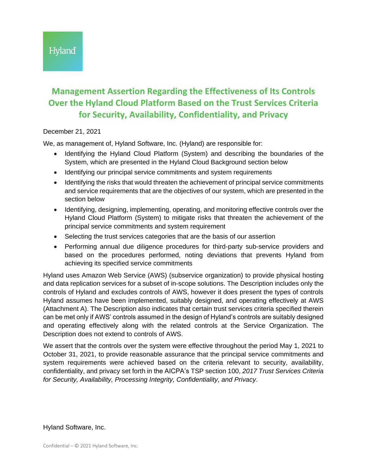# **Management Assertion Regarding the Effectiveness of Its Controls Over the Hyland Cloud Platform Based on the Trust Services Criteria for Security, Availability, Confidentiality, and Privacy**

### December 21, 2021

We, as management of, Hyland Software, Inc. (Hyland) are responsible for:

- Identifying the Hyland Cloud Platform (System) and describing the boundaries of the System, which are presented in the Hyland Cloud Background section below
- Identifying our principal service commitments and system requirements
- Identifying the risks that would threaten the achievement of principal service commitments and service requirements that are the objectives of our system, which are presented in the section below
- Identifying, designing, implementing, operating, and monitoring effective controls over the Hyland Cloud Platform (System) to mitigate risks that threaten the achievement of the principal service commitments and system requirement
- Selecting the trust services categories that are the basis of our assertion
- Performing annual due diligence procedures for third-party sub-service providers and based on the procedures performed, noting deviations that prevents Hyland from achieving its specified service commitments

Hyland uses Amazon Web Service (AWS) (subservice organization) to provide physical hosting and data replication services for a subset of in-scope solutions. The Description includes only the controls of Hyland and excludes controls of AWS, however it does present the types of controls Hyland assumes have been implemented, suitably designed, and operating effectively at AWS (Attachment A). The Description also indicates that certain trust services criteria specified therein can be met only if AWS' controls assumed in the design of Hyland's controls are suitably designed and operating effectively along with the related controls at the Service Organization. The Description does not extend to controls of AWS.

We assert that the controls over the system were effective throughout the period May 1, 2021 to October 31, 2021, to provide reasonable assurance that the principal service commitments and system requirements were achieved based on the criteria relevant to security, availability, confidentiality, and privacy set forth in the AICPA's TSP section 100, *2017 Trust Services Criteria for Security, Availability, Processing Integrity, Confidentiality, and Privacy*.

Hyland Software, Inc.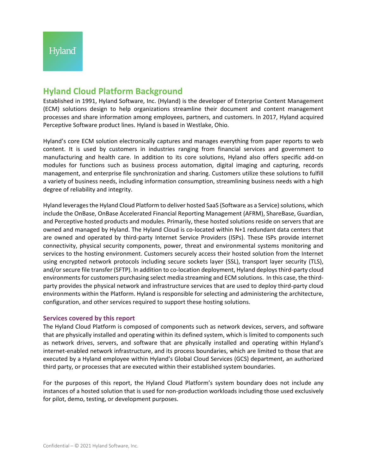# **Hyland Cloud Platform Background**

Established in 1991, Hyland Software, Inc. (Hyland) is the developer of Enterprise Content Management (ECM) solutions design to help organizations streamline their document and content management processes and share information among employees, partners, and customers. In 2017, Hyland acquired Perceptive Software product lines. Hyland is based in Westlake, Ohio.

Hyland's core ECM solution electronically captures and manages everything from paper reports to web content. It is used by customers in industries ranging from financial services and government to manufacturing and health care. In addition to its core solutions, Hyland also offers specific add-on modules for functions such as business process automation, digital imaging and capturing, records management, and enterprise file synchronization and sharing. Customers utilize these solutions to fulfill a variety of business needs, including information consumption, streamlining business needs with a high degree of reliability and integrity.

Hyland leverages the Hyland Cloud Platform to deliver hosted SaaS (Software as a Service) solutions, which include the OnBase, OnBase Accelerated Financial Reporting Management (AFRM), ShareBase, Guardian, and Perceptive hosted products and modules. Primarily, these hosted solutions reside on servers that are owned and managed by Hyland. The Hyland Cloud is co-located within N+1 redundant data centers that are owned and operated by third-party Internet Service Providers (ISPs). These ISPs provide internet connectivity, physical security components, power, threat and environmental systems monitoring and services to the hosting environment. Customers securely access their hosted solution from the Internet using encrypted network protocols including secure sockets layer (SSL), transport layer security (TLS), and/or secure file transfer (SFTP). In addition to co-location deployment, Hyland deploys third-party cloud environments for customers purchasing select media streaming and ECM solutions. In this case, the thirdparty provides the physical network and infrastructure services that are used to deploy third-party cloud environments within the Platform. Hyland is responsible for selecting and administering the architecture, configuration, and other services required to support these hosting solutions.

### **Services covered by this report**

The Hyland Cloud Platform is composed of components such as network devices, servers, and software that are physically installed and operating within its defined system, which is limited to components such as network drives, servers, and software that are physically installed and operating within Hyland's internet-enabled network infrastructure, and its process boundaries, which are limited to those that are executed by a Hyland employee within Hyland's Global Cloud Services (GCS) department, an authorized third party, or processes that are executed within their established system boundaries.

For the purposes of this report, the Hyland Cloud Platform's system boundary does not include any instances of a hosted solution that is used for non-production workloads including those used exclusively for pilot, demo, testing, or development purposes.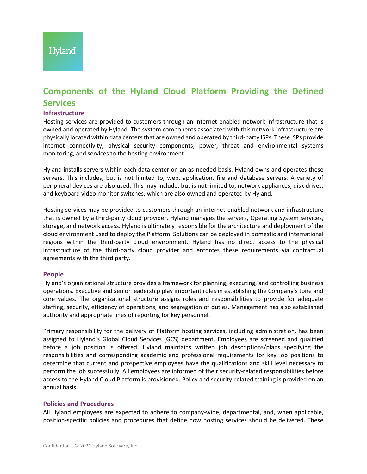# **Components of the Hyland Cloud Platform Providing the Defined Services**

### **Infrastructure**

Hosting services are provided to customers through an internet-enabled network infrastructure that is owned and operated by Hyland. The system components associated with this network infrastructure are physically located within data centers that are owned and operated by third-party ISPs. These ISPs provide internet connectivity, physical security components, power, threat and environmental systems monitoring, and services to the hosting environment.

Hyland installs servers within each data center on an as-needed basis. Hyland owns and operates these servers. This includes, but is not limited to, web, application, file and database servers. A variety of peripheral devices are also used. This may include, but is not limited to, network appliances, disk drives, and keyboard video monitor switches, which are also owned and operated by Hyland.

Hosting services may be provided to customers through an internet-enabled network and infrastructure that is owned by a third-party cloud provider. Hyland manages the servers, Operating System services, storage, and network access. Hyland is ultimately responsible for the architecture and deployment of the cloud environment used to deploy the Platform. Solutions can be deployed in domestic and international regions within the third-party cloud environment. Hyland has no direct access to the physical infrastructure of the third-party cloud provider and enforces these requirements via contractual agreements with the third party.

### **People**

Hyland's organizational structure provides a framework for planning, executing, and controlling business operations. Executive and senior leadership play important roles in establishing the Company's tone and core values. The organizational structure assigns roles and responsibilities to provide for adequate staffing, security, efficiency of operations, and segregation of duties. Management has also established authority and appropriate lines of reporting for key personnel.

Primary responsibility for the delivery of Platform hosting services, including administration, has been assigned to Hyland's Global Cloud Services (GCS) department. Employees are screened and qualified before a job position is offered. Hyland maintains written job descriptions/plans specifying the responsibilities and corresponding academic and professional requirements for key job positions to determine that current and prospective employees have the qualifications and skill level necessary to perform the job successfully. All employees are informed of their security-related responsibilities before access to the Hyland Cloud Platform is provisioned. Policy and security-related training is provided on an annual basis.

### **Policies and Procedures**

All Hyland employees are expected to adhere to company-wide, departmental, and, when applicable, position-specific policies and procedures that define how hosting services should be delivered. These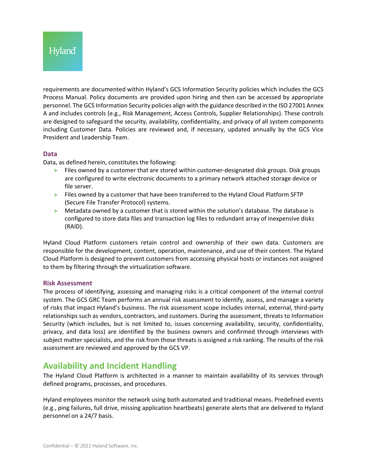requirements are documented within Hyland's GCS Information Security policies which includes the GCS Process Manual. Policy documents are provided upon hiring and then can be accessed by appropriate personnel. The GCS Information Security policies align with the guidance described in the ISO 27001 Annex A and includes controls (e.g., Risk Management, Access Controls, Supplier Relationships). These controls are designed to safeguard the security, availability, confidentiality, and privacy of all system components including Customer Data. Policies are reviewed and, if necessary, updated annually by the GCS Vice President and Leadership Team.

### **Data**

Data, as defined herein, constitutes the following:

- $\blacktriangleright$  Files owned by a customer that are stored within customer-designated disk groups. Disk groups are configured to write electronic documents to a primary network attached storage device or file server.
- ► Files owned by a customer that have been transferred to the Hyland Cloud Platform SFTP (Secure File Transfer Protocol) systems.
- ► Metadata owned by a customer that is stored within the solution's database. The database is configured to store data files and transaction log files to redundant array of inexpensive disks (RAID).

Hyland Cloud Platform customers retain control and ownership of their own data. Customers are responsible for the development, content, operation, maintenance, and use of their content. The Hyland Cloud Platform is designed to prevent customers from accessing physical hosts or instances not assigned to them by filtering through the virtualization software.

### **Risk Assessment**

The process of identifying, assessing and managing risks is a critical component of the internal control system. The GCS GRC Team performs an annual risk assessment to identify, assess, and manage a variety of risks that impact Hyland's business. The risk assessment scope includes internal, external, third-party relationships such as vendors, contractors, and customers. During the assessment, threats to Information Security (which includes, but is not limited to, issues concerning availability, security, confidentiality, privacy, and data loss) are identified by the business owners and confirmed through interviews with subject matter specialists, and the risk from those threats is assigned a risk ranking. The results of the risk assessment are reviewed and approved by the GCS VP.

## **Availability and Incident Handling**

The Hyland Cloud Platform is architected in a manner to maintain availability of its services through defined programs, processes, and procedures.

Hyland employees monitor the network using both automated and traditional means. Predefined events (e.g., ping failures, full drive, missing application heartbeats) generate alerts that are delivered to Hyland personnel on a 24/7 basis.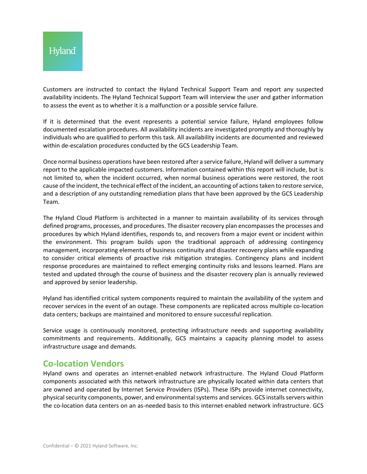Customers are instructed to contact the Hyland Technical Support Team and report any suspected availability incidents. The Hyland Technical Support Team will interview the user and gather information to assess the event as to whether it is a malfunction or a possible service failure.

If it is determined that the event represents a potential service failure, Hyland employees follow documented escalation procedures. All availability incidents are investigated promptly and thoroughly by individuals who are qualified to perform this task. All availability incidents are documented and reviewed within de-escalation procedures conducted by the GCS Leadership Team.

Once normal business operations have been restored after a service failure, Hyland will deliver a summary report to the applicable impacted customers. Information contained within this report will include, but is not limited to, when the incident occurred, when normal business operations were restored, the root cause of the incident, the technical effect of the incident, an accounting of actions taken to restore service, and a description of any outstanding remediation plans that have been approved by the GCS Leadership Team.

The Hyland Cloud Platform is architected in a manner to maintain availability of its services through defined programs, processes, and procedures. The disaster recovery plan encompasses the processes and procedures by which Hyland identifies, responds to, and recovers from a major event or incident within the environment. This program builds upon the traditional approach of addressing contingency management, incorporating elements of business continuity and disaster recovery plans while expanding to consider critical elements of proactive risk mitigation strategies. Contingency plans and incident response procedures are maintained to reflect emerging continuity risks and lessons learned. Plans are tested and updated through the course of business and the disaster recovery plan is annually reviewed and approved by senior leadership.

Hyland has identified critical system components required to maintain the availability of the system and recover services in the event of an outage. These components are replicated across multiple co-location data centers; backups are maintained and monitored to ensure successful replication.

Service usage is continuously monitored, protecting infrastructure needs and supporting availability commitments and requirements. Additionally, GCS maintains a capacity planning model to assess infrastructure usage and demands.

## **Co-location Vendors**

Hyland owns and operates an internet-enabled network infrastructure. The Hyland Cloud Platform components associated with this network infrastructure are physically located within data centers that are owned and operated by Internet Service Providers (ISPs). These ISPs provide internet connectivity, physical security components, power, and environmental systems and services. GCS installs servers within the co-location data centers on an as-needed basis to this internet-enabled network infrastructure. GCS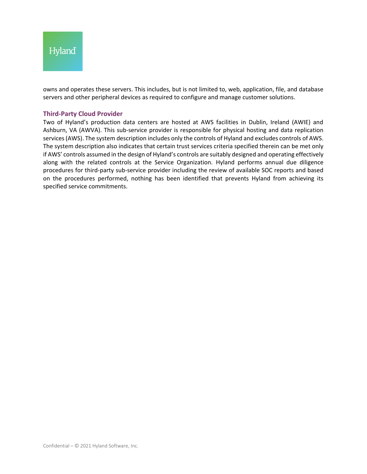

owns and operates these servers. This includes, but is not limited to, web, application, file, and database servers and other peripheral devices as required to configure and manage customer solutions.

### **Third-Party Cloud Provider**

Two of Hyland's production data centers are hosted at AWS facilities in Dublin, Ireland (AWIE) and Ashburn, VA (AWVA). This sub-service provider is responsible for physical hosting and data replication services (AWS). The system description includes only the controls of Hyland and excludes controls of AWS. The system description also indicates that certain trust services criteria specified therein can be met only if AWS' controls assumed in the design of Hyland's controls are suitably designed and operating effectively along with the related controls at the Service Organization. Hyland performs annual due diligence procedures for third-party sub-service provider including the review of available SOC reports and based on the procedures performed, nothing has been identified that prevents Hyland from achieving its specified service commitments.